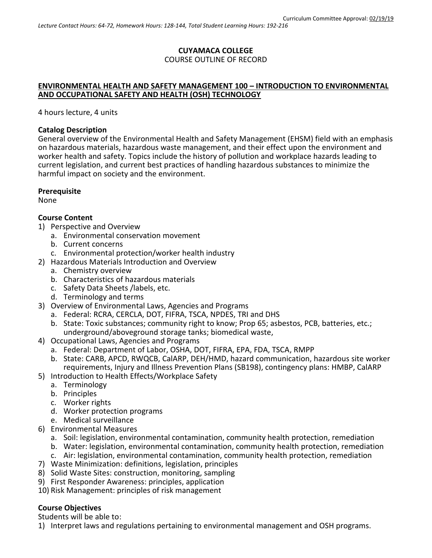# **CUYAMACA COLLEGE** COURSE OUTLINE OF RECORD

#### **ENVIRONMENTAL HEALTH AND SAFETY MANAGEMENT 100 – INTRODUCTION TO ENVIRONMENTAL AND OCCUPATIONAL SAFETY AND HEALTH (OSH) TECHNOLOGY**

4 hours lecture, 4 units

### **Catalog Description**

General overview of the Environmental Health and Safety Management (EHSM) field with an emphasis on hazardous materials, hazardous waste management, and their effect upon the environment and worker health and safety. Topics include the history of pollution and workplace hazards leading to current legislation, and current best practices of handling hazardous substances to minimize the harmful impact on society and the environment.

### **Prerequisite**

None

### **Course Content**

- 1) Perspective and Overview
	- a. Environmental conservation movement
	- b. Current concerns
	- c. Environmental protection/worker health industry
- 2) Hazardous Materials Introduction and Overview
	- a. Chemistry overview
	- b. Characteristics of hazardous materials
	- c. Safety Data Sheets /labels, etc.
	- d. Terminology and terms
- 3) Overview of Environmental Laws, Agencies and Programs
	- a. Federal: RCRA, CERCLA, DOT, FIFRA, TSCA, NPDES, TRI and DHS
	- b. State: Toxic substances; community right to know; Prop 65; asbestos, PCB, batteries, etc.; underground/aboveground storage tanks; biomedical waste,
- 4) Occupational Laws, Agencies and Programs
	- a. Federal: Department of Labor, OSHA, DOT, FIFRA, EPA, FDA, TSCA, RMPP
	- b. State: CARB, APCD, RWQCB, CalARP, DEH/HMD, hazard communication, hazardous site worker requirements, Injury and Illness Prevention Plans (SB198), contingency plans: HMBP, CalARP
- 5) Introduction to Health Effects/Workplace Safety
	- a. Terminology
	- b. Principles
	- c. Worker rights
	- d. Worker protection programs
	- e. Medical surveillance
- 6) Environmental Measures
	- a. Soil: legislation, environmental contamination, community health protection, remediation
	- b. Water: legislation, environmental contamination, community health protection, remediation
	- c. Air: legislation, environmental contamination, community health protection, remediation
- 7) Waste Minimization: definitions, legislation, principles
- 8) Solid Waste Sites: construction, monitoring, sampling
- 9) First Responder Awareness: principles, application
- 10) Risk Management: principles of risk management

## **Course Objectives**

Students will be able to:

1) Interpret laws and regulations pertaining to environmental management and OSH programs.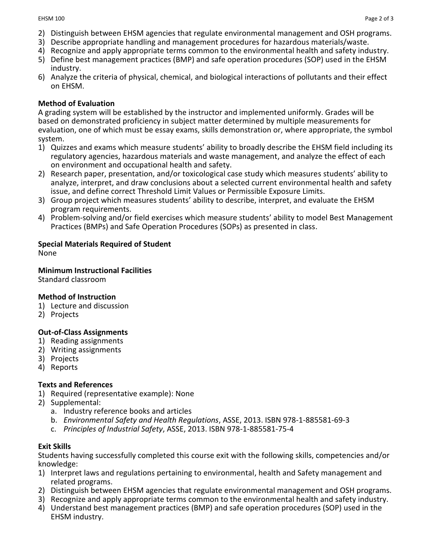- 2) Distinguish between EHSM agencies that regulate environmental management and OSH programs.
- 3) Describe appropriate handling and management procedures for hazardous materials/waste.
- 4) Recognize and apply appropriate terms common to the environmental health and safety industry.
- 5) Define best management practices (BMP) and safe operation procedures (SOP) used in the EHSM industry.
- 6) Analyze the criteria of physical, chemical, and biological interactions of pollutants and their effect on EHSM.

## **Method of Evaluation**

A grading system will be established by the instructor and implemented uniformly. Grades will be based on demonstrated proficiency in subject matter determined by multiple measurements for evaluation, one of which must be essay exams, skills demonstration or, where appropriate, the symbol system.

- 1) Quizzes and exams which measure students' ability to broadly describe the EHSM field including its regulatory agencies, hazardous materials and waste management, and analyze the effect of each on environment and occupational health and safety.
- 2) Research paper, presentation, and/or toxicological case study which measures students' ability to analyze, interpret, and draw conclusions about a selected current environmental health and safety issue, and define correct Threshold Limit Values or Permissible Exposure Limits.
- 3) Group project which measures students' ability to describe, interpret, and evaluate the EHSM program requirements.
- 4) Problem-solving and/or field exercises which measure students' ability to model Best Management Practices (BMPs) and Safe Operation Procedures (SOPs) as presented in class.

# **Special Materials Required of Student**

None

### **Minimum Instructional Facilities**

Standard classroom

## **Method of Instruction**

- 1) Lecture and discussion
- 2) Projects

## **Out-of-Class Assignments**

- 1) Reading assignments
- 2) Writing assignments
- 3) Projects
- 4) Reports

## **Texts and References**

- 1) Required (representative example): None
- 2) Supplemental:
	- a. Industry reference books and articles
	- b. *Environmental Safety and Health Regulations*, ASSE, 2013. ISBN 978-1-885581-69-3
	- c. *Principles of Industrial Safety*, ASSE, 2013. ISBN 978-1-885581-75-4

## **Exit Skills**

Students having successfully completed this course exit with the following skills, competencies and/or knowledge:

- 1) Interpret laws and regulations pertaining to environmental, health and Safety management and related programs.
- 2) Distinguish between EHSM agencies that regulate environmental management and OSH programs.
- 3) Recognize and apply appropriate terms common to the environmental health and safety industry.
- 4) Understand best management practices (BMP) and safe operation procedures (SOP) used in the EHSM industry.